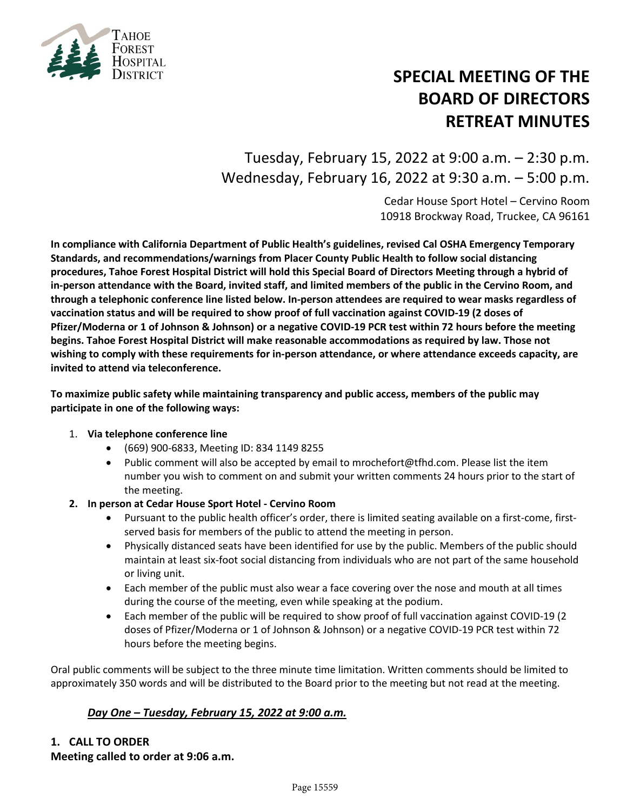

# **SPECIAL MEETING OF THE BOARD OF DIRECTORS RETREAT MINUTES**

Tuesday, February 15, 2022 at 9:00 a.m. – 2:30 p.m. Wednesday, February 16, 2022 at 9:30 a.m. – 5:00 p.m.

> Cedar House Sport Hotel – Cervino Room 10918 Brockway Road, Truckee, CA 96161

**In compliance with California Department of Public Health's guidelines, revised Cal OSHA Emergency Temporary Standards, and recommendations/warnings from Placer County Public Health to follow social distancing procedures, Tahoe Forest Hospital District will hold this Special Board of Directors Meeting through a hybrid of in-person attendance with the Board, invited staff, and limited members of the public in the Cervino Room, and through a telephonic conference line listed below. In-person attendees are required to wear masks regardless of vaccination status and will be required to show proof of full vaccination against COVID-19 (2 doses of Pfizer/Moderna or 1 of Johnson & Johnson) or a negative COVID-19 PCR test within 72 hours before the meeting begins. Tahoe Forest Hospital District will make reasonable accommodations as required by law. Those not wishing to comply with these requirements for in-person attendance, or where attendance exceeds capacity, are invited to attend via teleconference.**

**To maximize public safety while maintaining transparency and public access, members of the public may participate in one of the following ways:**

#### 1. **Via telephone conference line**

- (669) 900-6833, Meeting ID: 834 1149 8255
- Public comment will also be accepted by email to [mrochefort@tfhd.com.](mailto:mrochefort@tfhd.com) Please list the item number you wish to comment on and submit your written comments 24 hours prior to the start of the meeting.
- **2. In person at Cedar House Sport Hotel Cervino Room**
	- Pursuant to the public health officer's order, there is limited seating available on a first-come, firstserved basis for members of the public to attend the meeting in person.
	- Physically distanced seats have been identified for use by the public. Members of the public should maintain at least six-foot social distancing from individuals who are not part of the same household or living unit.
	- Each member of the public must also wear a face covering over the nose and mouth at all times during the course of the meeting, even while speaking at the podium.
	- Each member of the public will be required to show proof of full vaccination against COVID-19 (2 doses of Pfizer/Moderna or 1 of Johnson & Johnson) or a negative COVID-19 PCR test within 72 hours before the meeting begins.

Oral public comments will be subject to the three minute time limitation. Written comments should be limited to approximately 350 words and will be distributed to the Board prior to the meeting but not read at the meeting.

#### *Day One – Tuesday, February 15, 2022 at 9:00 a.m.*

#### **1. CALL TO ORDER Meeting called to order at 9:06 a.m.**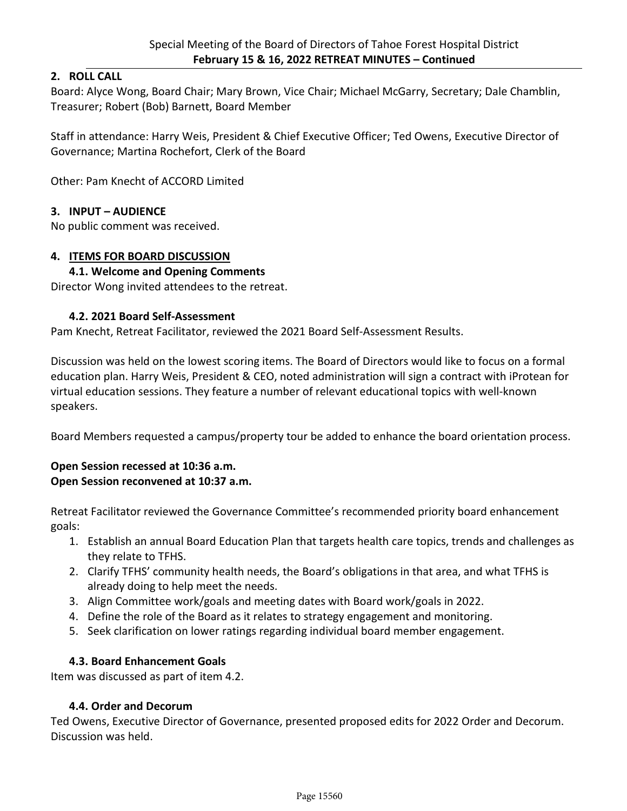#### **2. ROLL CALL**

Board: Alyce Wong, Board Chair; Mary Brown, Vice Chair; Michael McGarry, Secretary; Dale Chamblin, Treasurer; Robert (Bob) Barnett, Board Member

Staff in attendance: Harry Weis, President & Chief Executive Officer; Ted Owens, Executive Director of Governance; Martina Rochefort, Clerk of the Board

Other: Pam Knecht of ACCORD Limited

#### **3. INPUT – AUDIENCE**

No public comment was received.

#### **4. ITEMS FOR BOARD DISCUSSION**

#### **4.1. Welcome and Opening Comments**

Director Wong invited attendees to the retreat.

#### **4.2. 2021 Board Self-Assessment**

Pam Knecht, Retreat Facilitator, reviewed the 2021 Board Self-Assessment Results.

Discussion was held on the lowest scoring items. The Board of Directors would like to focus on a formal education plan. Harry Weis, President & CEO, noted administration will sign a contract with iProtean for virtual education sessions. They feature a number of relevant educational topics with well-known speakers.

Board Members requested a campus/property tour be added to enhance the board orientation process.

#### **Open Session recessed at 10:36 a.m. Open Session reconvened at 10:37 a.m.**

Retreat Facilitator reviewed the Governance Committee's recommended priority board enhancement goals:

- 1. Establish an annual Board Education Plan that targets health care topics, trends and challenges as they relate to TFHS.
- 2. Clarify TFHS' community health needs, the Board's obligations in that area, and what TFHS is already doing to help meet the needs.
- 3. Align Committee work/goals and meeting dates with Board work/goals in 2022.
- 4. Define the role of the Board as it relates to strategy engagement and monitoring.
- 5. Seek clarification on lower ratings regarding individual board member engagement.

#### **4.3. Board Enhancement Goals**

Item was discussed as part of item 4.2.

#### **4.4. Order and Decorum**

Ted Owens, Executive Director of Governance, presented proposed edits for 2022 Order and Decorum. Discussion was held.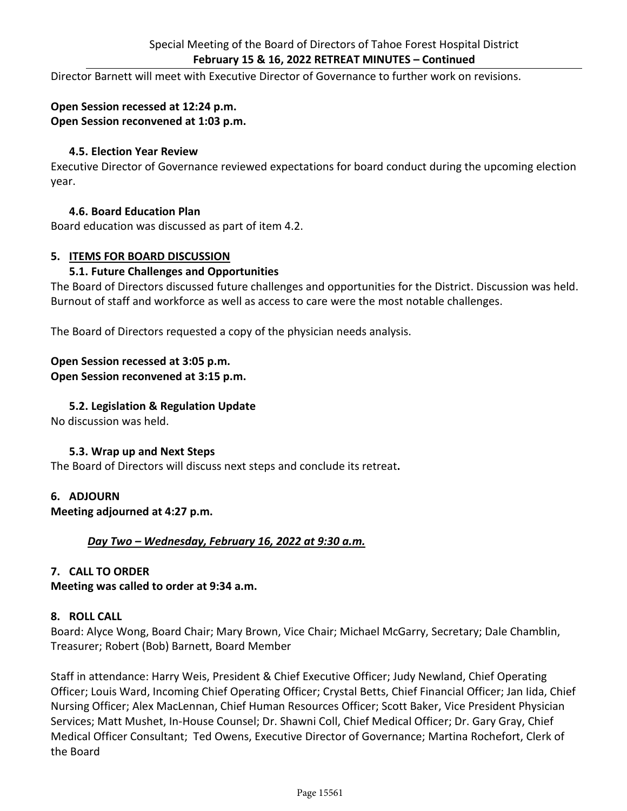Director Barnett will meet with Executive Director of Governance to further work on revisions.

#### **Open Session recessed at 12:24 p.m. Open Session reconvened at 1:03 p.m.**

#### **4.5. Election Year Review**

Executive Director of Governance reviewed expectations for board conduct during the upcoming election year.

#### **4.6. Board Education Plan**

Board education was discussed as part of item 4.2.

#### **5. ITEMS FOR BOARD DISCUSSION**

#### **5.1. Future Challenges and Opportunities**

The Board of Directors discussed future challenges and opportunities for the District. Discussion was held. Burnout of staff and workforce as well as access to care were the most notable challenges.

The Board of Directors requested a copy of the physician needs analysis.

#### **Open Session recessed at 3:05 p.m.**

#### **Open Session reconvened at 3:15 p.m.**

#### **5.2. Legislation & Regulation Update**

No discussion was held.

#### **5.3. Wrap up and Next Steps**

The Board of Directors will discuss next steps and conclude its retreat**.** 

#### **6. ADJOURN**

**Meeting adjourned at 4:27 p.m.**

#### *Day Two – Wednesday, February 16, 2022 at 9:30 a.m.*

#### **7. CALL TO ORDER**

**Meeting was called to order at 9:34 a.m.**

#### **8. ROLL CALL**

Board: Alyce Wong, Board Chair; Mary Brown, Vice Chair; Michael McGarry, Secretary; Dale Chamblin, Treasurer; Robert (Bob) Barnett, Board Member

Staff in attendance: Harry Weis, President & Chief Executive Officer; Judy Newland, Chief Operating Officer; Louis Ward, Incoming Chief Operating Officer; Crystal Betts, Chief Financial Officer; Jan Iida, Chief Nursing Officer; Alex MacLennan, Chief Human Resources Officer; Scott Baker, Vice President Physician Services; Matt Mushet, In-House Counsel; Dr. Shawni Coll, Chief Medical Officer; Dr. Gary Gray, Chief Medical Officer Consultant; Ted Owens, Executive Director of Governance; Martina Rochefort, Clerk of the Board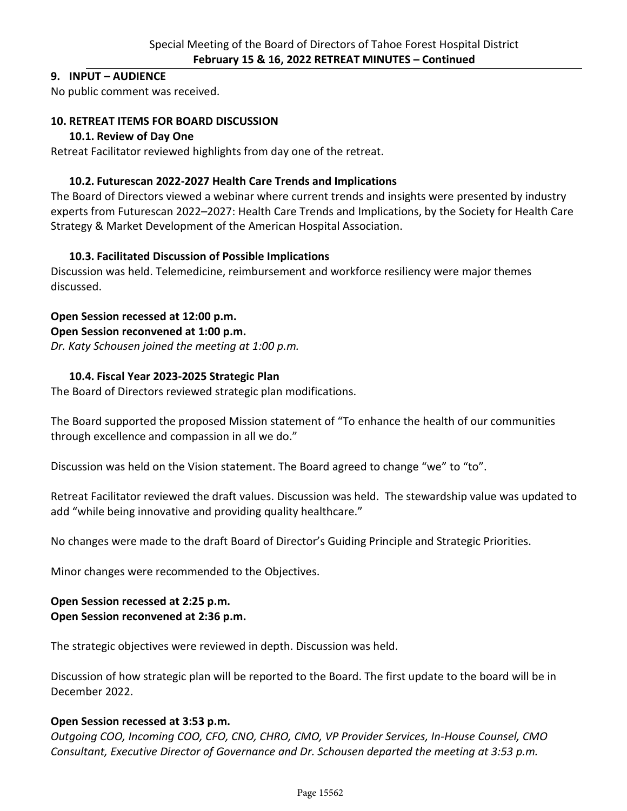#### **9. INPUT – AUDIENCE**

No public comment was received.

#### **10. RETREAT ITEMS FOR BOARD DISCUSSION**

#### **10.1. Review of Day One**

Retreat Facilitator reviewed highlights from day one of the retreat.

#### **10.2. Futurescan 2022-2027 Health Care Trends and Implications**

The Board of Directors viewed a webinar where current trends and insights were presented by industry experts from Futurescan 2022–2027: Health Care Trends and Implications, by the Society for Health Care Strategy & Market Development of the American Hospital Association.

#### **10.3. Facilitated Discussion of Possible Implications**

Discussion was held. Telemedicine, reimbursement and workforce resiliency were major themes discussed.

#### **Open Session recessed at 12:00 p.m.**

#### **Open Session reconvened at 1:00 p.m.**

*Dr. Katy Schousen joined the meeting at 1:00 p.m.*

#### **10.4. Fiscal Year 2023-2025 Strategic Plan**

The Board of Directors reviewed strategic plan modifications.

The Board supported the proposed Mission statement of "To enhance the health of our communities through excellence and compassion in all we do."

Discussion was held on the Vision statement. The Board agreed to change "we" to "to".

Retreat Facilitator reviewed the draft values. Discussion was held. The stewardship value was updated to add "while being innovative and providing quality healthcare."

No changes were made to the draft Board of Director's Guiding Principle and Strategic Priorities.

Minor changes were recommended to the Objectives.

## **Open Session recessed at 2:25 p.m.**

### **Open Session reconvened at 2:36 p.m.**

The strategic objectives were reviewed in depth. Discussion was held.

Discussion of how strategic plan will be reported to the Board. The first update to the board will be in December 2022.

#### **Open Session recessed at 3:53 p.m.**

*Outgoing COO, Incoming COO, CFO, CNO, CHRO, CMO, VP Provider Services, In-House Counsel, CMO Consultant, Executive Director of Governance and Dr. Schousen departed the meeting at 3:53 p.m.*